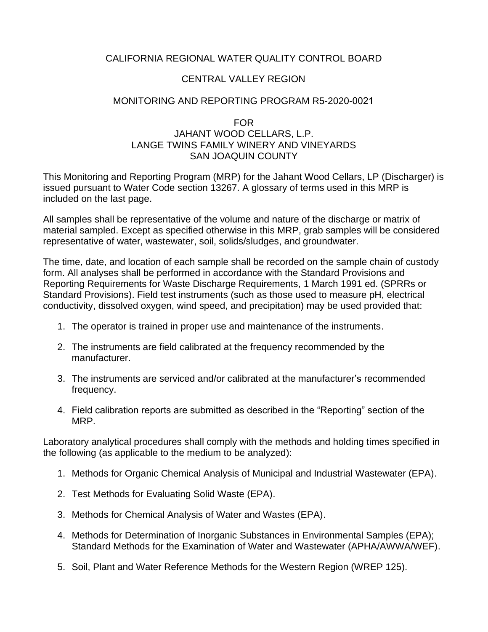# CALIFORNIA REGIONAL WATER QUALITY CONTROL BOARD

# CENTRAL VALLEY REGION

# MONITORING AND REPORTING PROGRAM R5-2020-0021

### FOR JAHANT WOOD CELLARS, L.P. LANGE TWINS FAMILY WINERY AND VINEYARDS SAN JOAQUIN COUNTY

This Monitoring and Reporting Program (MRP) for the Jahant Wood Cellars, LP (Discharger) is issued pursuant to Water Code section 13267. A glossary of terms used in this MRP is included on the last page.

All samples shall be representative of the volume and nature of the discharge or matrix of material sampled. Except as specified otherwise in this MRP, grab samples will be considered representative of water, wastewater, soil, solids/sludges, and groundwater.

The time, date, and location of each sample shall be recorded on the sample chain of custody form. All analyses shall be performed in accordance with the Standard Provisions and Reporting Requirements for Waste Discharge Requirements, 1 March 1991 ed. (SPRRs or Standard Provisions). Field test instruments (such as those used to measure pH, electrical conductivity, dissolved oxygen, wind speed, and precipitation) may be used provided that:

- 1. The operator is trained in proper use and maintenance of the instruments.
- 2. The instruments are field calibrated at the frequency recommended by the manufacturer.
- 3. The instruments are serviced and/or calibrated at the manufacturer's recommended frequency.
- 4. Field calibration reports are submitted as described in the "Reporting" section of the MRP.

Laboratory analytical procedures shall comply with the methods and holding times specified in the following (as applicable to the medium to be analyzed):

- 1. Methods for Organic Chemical Analysis of Municipal and Industrial Wastewater (EPA).
- 2. Test Methods for Evaluating Solid Waste (EPA).
- 3. Methods for Chemical Analysis of Water and Wastes (EPA).
- 4. Methods for Determination of Inorganic Substances in Environmental Samples (EPA); Standard Methods for the Examination of Water and Wastewater (APHA/AWWA/WEF).
- 5. Soil, Plant and Water Reference Methods for the Western Region (WREP 125).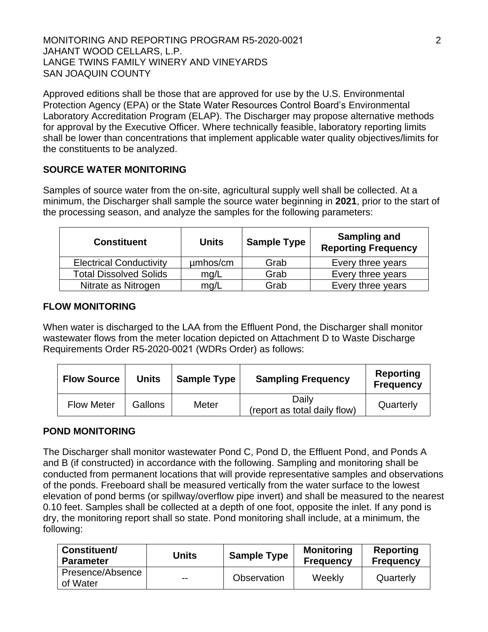MONITORING AND REPORTING PROGRAM R5-2020-0021 2 JAHANT WOOD CELLARS, L.P. LANGE TWINS FAMILY WINERY AND VINEYARDS SAN JOAQUIN COUNTY

Approved editions shall be those that are approved for use by the U.S. Environmental Protection Agency (EPA) or the State Water Resources Control Board's Environmental Laboratory Accreditation Program (ELAP). The Discharger may propose alternative methods for approval by the Executive Officer. Where technically feasible, laboratory reporting limits shall be lower than concentrations that implement applicable water quality objectives/limits for the constituents to be analyzed.

# **SOURCE WATER MONITORING**

Samples of source water from the on-site, agricultural supply well shall be collected. At a minimum, the Discharger shall sample the source water beginning in **2021**, prior to the start of the processing season, and analyze the samples for the following parameters:

| <b>Constituent</b>             | <b>Units</b> | <b>Sample Type</b> | <b>Sampling and</b><br><b>Reporting Frequency</b> |
|--------------------------------|--------------|--------------------|---------------------------------------------------|
| <b>Electrical Conductivity</b> | umhos/cm     | Grab               | Every three years                                 |
| <b>Total Dissolved Solids</b>  | mg/L         | Grab               | Every three years                                 |
| Nitrate as Nitrogen            | mg/L         | Grab               | Every three years                                 |

### **FLOW MONITORING**

When water is discharged to the LAA from the Effluent Pond, the Discharger shall monitor wastewater flows from the meter location depicted on Attachment D to Waste Discharge Requirements Order R5-2020-0021 (WDRs Order) as follows:

| <b>Flow Source</b> | <b>Units</b> | <b>Sample Type</b> | <b>Sampling Frequency</b>             | Reporting<br><b>Frequency</b> |
|--------------------|--------------|--------------------|---------------------------------------|-------------------------------|
| <b>Flow Meter</b>  | Gallons      | Meter              | Daily<br>(report as total daily flow) | Quarterly                     |

## **POND MONITORING**

The Discharger shall monitor wastewater Pond C, Pond D, the Effluent Pond, and Ponds A and B (if constructed) in accordance with the following. Sampling and monitoring shall be conducted from permanent locations that will provide representative samples and observations of the ponds. Freeboard shall be measured vertically from the water surface to the lowest elevation of pond berms (or spillway/overflow pipe invert) and shall be measured to the nearest 0.10 feet. Samples shall be collected at a depth of one foot, opposite the inlet. If any pond is dry, the monitoring report shall so state. Pond monitoring shall include, at a minimum, the following:

| <b>Constituent/</b><br><b>Parameter</b> | Units | <b>Sample Type</b> | <b>Monitoring</b><br><b>Frequency</b> | Reporting<br><b>Frequency</b> |
|-----------------------------------------|-------|--------------------|---------------------------------------|-------------------------------|
| Presence/Absence<br>of Water            | $- -$ | Observation        | Weekly                                | Quarterly                     |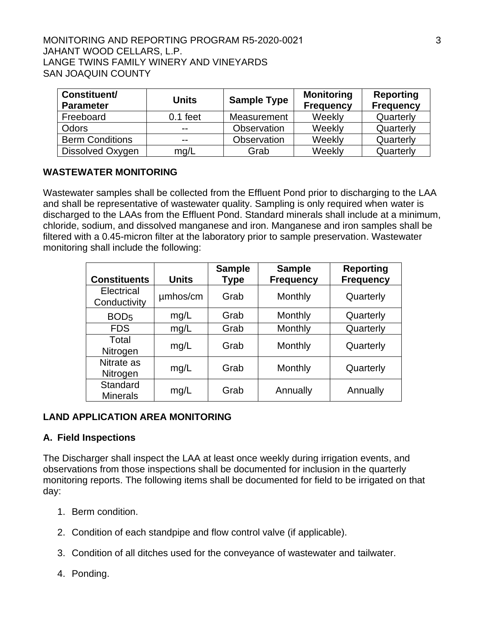### MONITORING AND REPORTING PROGRAM R5-2020-0021 3 JAHANT WOOD CELLARS, L.P. LANGE TWINS FAMILY WINERY AND VINEYARDS SAN JOAQUIN COUNTY

| Constituent/<br><b>Parameter</b> | <b>Units</b> | <b>Sample Type</b> | <b>Monitoring</b><br><b>Frequency</b> | <b>Reporting</b><br><b>Frequency</b> |
|----------------------------------|--------------|--------------------|---------------------------------------|--------------------------------------|
| Freeboard                        | $0.1$ feet   | Measurement        | Weekly                                | Quarterly                            |
| <b>Odors</b>                     | --           | Observation        | Weekly                                | Quarterly                            |
| <b>Berm Conditions</b>           | $- -$        | Observation        | Weekly                                | Quarterly                            |
| Dissolved Oxygen                 | mg/L         | Grab               | Weekly                                | Quarterly                            |

## **WASTEWATER MONITORING**

Wastewater samples shall be collected from the Effluent Pond prior to discharging to the LAA and shall be representative of wastewater quality. Sampling is only required when water is discharged to the LAAs from the Effluent Pond. Standard minerals shall include at a minimum, chloride, sodium, and dissolved manganese and iron. Manganese and iron samples shall be filtered with a 0.45-micron filter at the laboratory prior to sample preservation. Wastewater monitoring shall include the following:

| <b>Constituents</b>         | <b>Units</b> | <b>Sample</b><br><b>Type</b> | <b>Sample</b><br><b>Frequency</b> | <b>Reporting</b><br><b>Frequency</b> |
|-----------------------------|--------------|------------------------------|-----------------------------------|--------------------------------------|
| Electrical<br>Conductivity  | umhos/cm     | Grab                         | Monthly                           | Quarterly                            |
| BOD <sub>5</sub>            | mg/L         | Grab                         | Monthly                           | Quarterly                            |
| <b>FDS</b>                  | mg/L         | Grab                         | Monthly                           | Quarterly                            |
| Total<br>Nitrogen           | mg/L         | Grab                         | Monthly                           | Quarterly                            |
| Nitrate as<br>Nitrogen      | mg/L         | Grab                         | Monthly                           | Quarterly                            |
| Standard<br><b>Minerals</b> | mg/L         | Grab                         | Annually                          | Annually                             |

## **LAND APPLICATION AREA MONITORING**

## **A. Field Inspections**

The Discharger shall inspect the LAA at least once weekly during irrigation events, and observations from those inspections shall be documented for inclusion in the quarterly monitoring reports. The following items shall be documented for field to be irrigated on that day:

- 1. Berm condition.
- 2. Condition of each standpipe and flow control valve (if applicable).
- 3. Condition of all ditches used for the conveyance of wastewater and tailwater.
- 4. Ponding.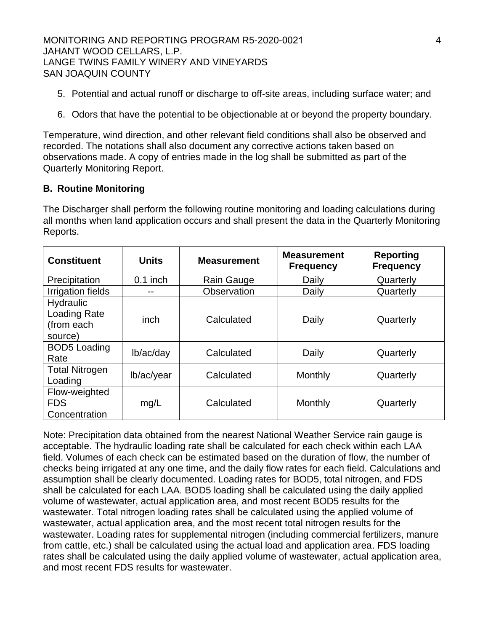MONITORING AND REPORTING PROGRAM R5-2020-0021 4 JAHANT WOOD CELLARS, L.P. LANGE TWINS FAMILY WINERY AND VINEYARDS SAN JOAQUIN COUNTY

- 5. Potential and actual runoff or discharge to off-site areas, including surface water; and
- 6. Odors that have the potential to be objectionable at or beyond the property boundary.

Temperature, wind direction, and other relevant field conditions shall also be observed and recorded. The notations shall also document any corrective actions taken based on observations made. A copy of entries made in the log shall be submitted as part of the Quarterly Monitoring Report.

### **B. Routine Monitoring**

The Discharger shall perform the following routine monitoring and loading calculations during all months when land application occurs and shall present the data in the Quarterly Monitoring Reports.

| <b>Constituent</b>                                        | <b>Units</b> | <b>Measurement</b> | <b>Measurement</b><br><b>Frequency</b> | <b>Reporting</b><br><b>Frequency</b> |
|-----------------------------------------------------------|--------------|--------------------|----------------------------------------|--------------------------------------|
| Precipitation                                             | $0.1$ inch   | Rain Gauge         | Daily                                  | Quarterly                            |
| <b>Irrigation fields</b>                                  |              | Observation        | Daily                                  | Quarterly                            |
| <b>Hydraulic</b><br>Loading Rate<br>(from each<br>source) | inch         | Calculated         | Daily                                  | Quarterly                            |
| <b>BOD5</b> Loading<br>Rate                               | lb/ac/day    | Calculated         | Daily                                  | Quarterly                            |
| <b>Total Nitrogen</b><br>Loading                          | lb/ac/year   | Calculated         | Monthly                                | Quarterly                            |
| Flow-weighted<br><b>FDS</b><br>Concentration              | mg/L         | Calculated         | Monthly                                | Quarterly                            |

Note: Precipitation data obtained from the nearest National Weather Service rain gauge is acceptable. The hydraulic loading rate shall be calculated for each check within each LAA field. Volumes of each check can be estimated based on the duration of flow, the number of checks being irrigated at any one time, and the daily flow rates for each field. Calculations and assumption shall be clearly documented. Loading rates for BOD5, total nitrogen, and FDS shall be calculated for each LAA. BOD5 loading shall be calculated using the daily applied volume of wastewater, actual application area, and most recent BOD5 results for the wastewater. Total nitrogen loading rates shall be calculated using the applied volume of wastewater, actual application area, and the most recent total nitrogen results for the wastewater. Loading rates for supplemental nitrogen (including commercial fertilizers, manure from cattle, etc.) shall be calculated using the actual load and application area. FDS loading rates shall be calculated using the daily applied volume of wastewater, actual application area, and most recent FDS results for wastewater.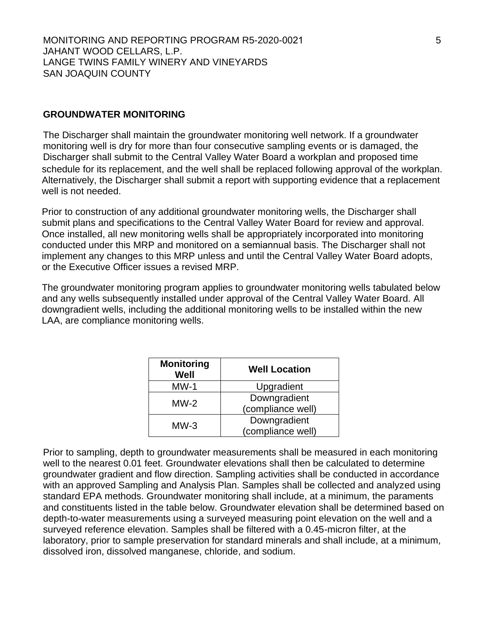## **GROUNDWATER MONITORING**

The Discharger shall maintain the groundwater monitoring well network. If a groundwater monitoring well is dry for more than four consecutive sampling events or is damaged, the Discharger shall submit to the Central Valley Water Board a workplan and proposed time schedule for its replacement, and the well shall be replaced following approval of the workplan. Alternatively, the Discharger shall submit a report with supporting evidence that a replacement well is not needed.

Prior to construction of any additional groundwater monitoring wells, the Discharger shall submit plans and specifications to the Central Valley Water Board for review and approval. Once installed, all new monitoring wells shall be appropriately incorporated into monitoring conducted under this MRP and monitored on a semiannual basis. The Discharger shall not implement any changes to this MRP unless and until the Central Valley Water Board adopts, or the Executive Officer issues a revised MRP.

The groundwater monitoring program applies to groundwater monitoring wells tabulated below and any wells subsequently installed under approval of the Central Valley Water Board. All downgradient wells, including the additional monitoring wells to be installed within the new LAA, are compliance monitoring wells.

| <b>Monitoring</b><br>Well | <b>Well Location</b>              |
|---------------------------|-----------------------------------|
| $MW-1$                    | Upgradient                        |
| $MW-2$                    | Downgradient<br>(compliance well) |
| $MW-3$                    | Downgradient<br>(compliance well) |

Prior to sampling, depth to groundwater measurements shall be measured in each monitoring well to the nearest 0.01 feet. Groundwater elevations shall then be calculated to determine groundwater gradient and flow direction. Sampling activities shall be conducted in accordance with an approved Sampling and Analysis Plan. Samples shall be collected and analyzed using standard EPA methods. Groundwater monitoring shall include, at a minimum, the paraments and constituents listed in the table below. Groundwater elevation shall be determined based on depth-to-water measurements using a surveyed measuring point elevation on the well and a surveyed reference elevation. Samples shall be filtered with a 0.45-micron filter, at the laboratory, prior to sample preservation for standard minerals and shall include, at a minimum, dissolved iron, dissolved manganese, chloride, and sodium.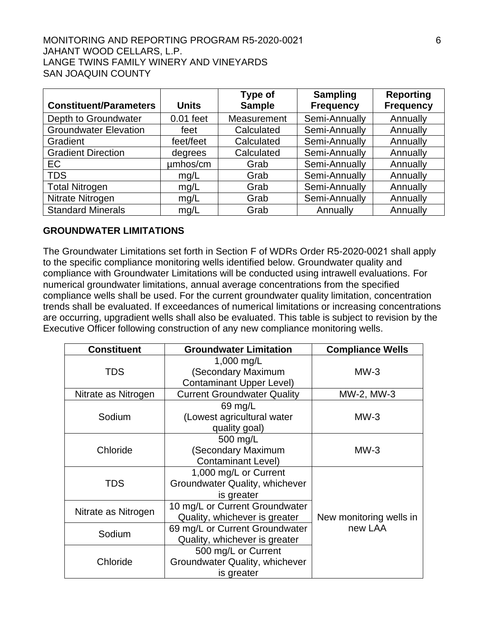#### MONITORING AND REPORTING PROGRAM R5-2020-0021 6 JAHANT WOOD CELLARS, L.P. LANGE TWINS FAMILY WINERY AND VINEYARDS SAN JOAQUIN COUNTY

| <b>Constituent/Parameters</b> | <b>Units</b> | Type of<br><b>Sample</b> | <b>Sampling</b><br><b>Frequency</b> | <b>Reporting</b><br><b>Frequency</b> |
|-------------------------------|--------------|--------------------------|-------------------------------------|--------------------------------------|
| Depth to Groundwater          | $0.01$ feet  | Measurement              | Semi-Annually                       | Annually                             |
| <b>Groundwater Elevation</b>  | feet         | Calculated               | Semi-Annually                       | Annually                             |
| Gradient                      | feet/feet    | Calculated               | Semi-Annually                       | Annually                             |
| <b>Gradient Direction</b>     | degrees      | Calculated               | Semi-Annually                       | Annually                             |
| EC                            | umhos/cm     | Grab                     | Semi-Annually                       | Annually                             |
| <b>TDS</b>                    | mg/L         | Grab                     | Semi-Annually                       | Annually                             |
| <b>Total Nitrogen</b>         | mg/L         | Grab                     | Semi-Annually                       | Annually                             |
| Nitrate Nitrogen              | mg/L         | Grab                     | Semi-Annually                       | Annually                             |
| <b>Standard Minerals</b>      | mg/L         | Grab                     | Annually                            | Annually                             |

## **GROUNDWATER LIMITATIONS**

The Groundwater Limitations set forth in Section F of WDRs Order R5-2020-0021 shall apply to the specific compliance monitoring wells identified below. Groundwater quality and compliance with Groundwater Limitations will be conducted using intrawell evaluations. For numerical groundwater limitations, annual average concentrations from the specified compliance wells shall be used. For the current groundwater quality limitation, concentration trends shall be evaluated. If exceedances of numerical limitations or increasing concentrations are occurring, upgradient wells shall also be evaluated. This table is subject to revision by the Executive Officer following construction of any new compliance monitoring wells.

| <b>Constituent</b>  | <b>Groundwater Limitation</b>                                         | <b>Compliance Wells</b> |
|---------------------|-----------------------------------------------------------------------|-------------------------|
| <b>TDS</b>          | 1,000 mg/L<br>(Secondary Maximum                                      | $MW-3$                  |
|                     | <b>Contaminant Upper Level)</b>                                       |                         |
| Nitrate as Nitrogen | <b>Current Groundwater Quality</b>                                    | MW-2, MW-3              |
| Sodium              | 69 mg/L<br>(Lowest agricultural water<br>quality goal)                | $MW-3$                  |
| Chloride            | 500 mg/L<br>(Secondary Maximum<br><b>Contaminant Level)</b>           | $MW-3$                  |
| TDS                 | 1,000 mg/L or Current<br>Groundwater Quality, whichever<br>is greater |                         |
| Nitrate as Nitrogen | 10 mg/L or Current Groundwater<br>Quality, whichever is greater       | New monitoring wells in |
| Sodium              | 69 mg/L or Current Groundwater<br>Quality, whichever is greater       | new LAA                 |
| Chloride            | 500 mg/L or Current<br>Groundwater Quality, whichever<br>is greater   |                         |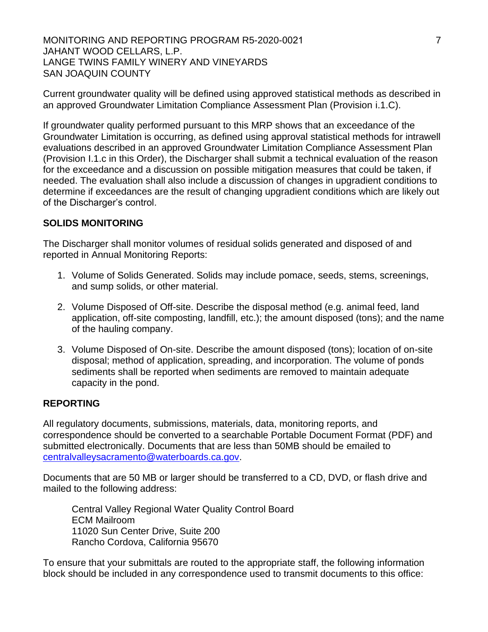MONITORING AND REPORTING PROGRAM R5-2020-0021 **THE** JAHANT WOOD CELLARS, L.P. LANGE TWINS FAMILY WINERY AND VINEYARDS SAN JOAQUIN COUNTY

Current groundwater quality will be defined using approved statistical methods as described in an approved Groundwater Limitation Compliance Assessment Plan (Provision i.1.C).

If groundwater quality performed pursuant to this MRP shows that an exceedance of the Groundwater Limitation is occurring, as defined using approval statistical methods for intrawell evaluations described in an approved Groundwater Limitation Compliance Assessment Plan (Provision I.1.c in this Order), the Discharger shall submit a technical evaluation of the reason for the exceedance and a discussion on possible mitigation measures that could be taken, if needed. The evaluation shall also include a discussion of changes in upgradient conditions to determine if exceedances are the result of changing upgradient conditions which are likely out of the Discharger's control.

## **SOLIDS MONITORING**

The Discharger shall monitor volumes of residual solids generated and disposed of and reported in Annual Monitoring Reports:

- 1. Volume of Solids Generated. Solids may include pomace, seeds, stems, screenings, and sump solids, or other material.
- 2. Volume Disposed of Off-site. Describe the disposal method (e.g. animal feed, land application, off-site composting, landfill, etc.); the amount disposed (tons); and the name of the hauling company.
- 3. Volume Disposed of On-site. Describe the amount disposed (tons); location of on-site disposal; method of application, spreading, and incorporation. The volume of ponds sediments shall be reported when sediments are removed to maintain adequate capacity in the pond.

#### **REPORTING**

All regulatory documents, submissions, materials, data, monitoring reports, and correspondence should be converted to a searchable Portable Document Format (PDF) and submitted electronically. Documents that are less than 50MB should be emailed to [centralvalleysacramento@waterboards.ca.gov.](file://///ca.epa.local/RB/RB5/R5SSections/Permitting%20Title%2027%20Confined%20Animals/Units/Non%2015%20Permitting/01%20County%20Files/SanJoaquin/Barrel%20Ten%20Escalon%20Winery/R5-2020-XXXX/centralvalleysacramento@waterboards.ca.gov)

Documents that are 50 MB or larger should be transferred to a CD, DVD, or flash drive and mailed to the following address:

Central Valley Regional Water Quality Control Board ECM Mailroom 11020 Sun Center Drive, Suite 200 Rancho Cordova, California 95670

To ensure that your submittals are routed to the appropriate staff, the following information block should be included in any correspondence used to transmit documents to this office: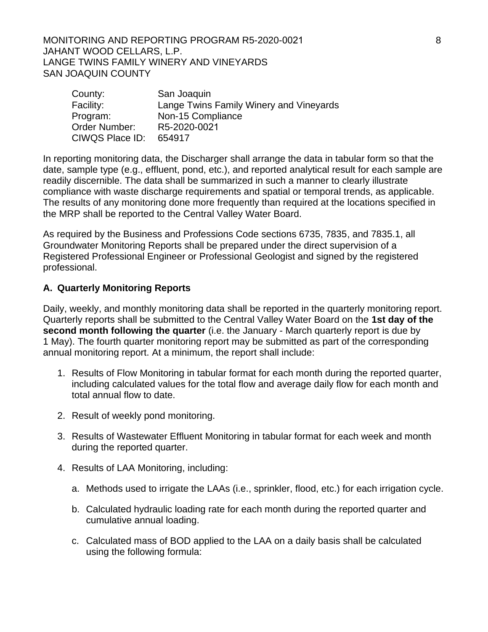MONITORING AND REPORTING PROGRAM R5-2020-0021 **8** JAHANT WOOD CELLARS, L.P. LANGE TWINS FAMILY WINERY AND VINEYARDS SAN JOAQUIN COUNTY

| County:         | San Joaquin                             |
|-----------------|-----------------------------------------|
| Facility:       | Lange Twins Family Winery and Vineyards |
| Program:        | Non-15 Compliance                       |
| Order Number:   | R5-2020-0021                            |
| CIWQS Place ID: | 654917                                  |

In reporting monitoring data, the Discharger shall arrange the data in tabular form so that the date, sample type (e.g., effluent, pond, etc.), and reported analytical result for each sample are readily discernible. The data shall be summarized in such a manner to clearly illustrate compliance with waste discharge requirements and spatial or temporal trends, as applicable. The results of any monitoring done more frequently than required at the locations specified in the MRP shall be reported to the Central Valley Water Board.

As required by the Business and Professions Code sections 6735, 7835, and 7835.1, all Groundwater Monitoring Reports shall be prepared under the direct supervision of a Registered Professional Engineer or Professional Geologist and signed by the registered professional.

# **A. Quarterly Monitoring Reports**

Daily, weekly, and monthly monitoring data shall be reported in the quarterly monitoring report. Quarterly reports shall be submitted to the Central Valley Water Board on the **1st day of the second month following the quarter** (i.e. the January - March quarterly report is due by 1 May). The fourth quarter monitoring report may be submitted as part of the corresponding annual monitoring report. At a minimum, the report shall include:

- 1. Results of Flow Monitoring in tabular format for each month during the reported quarter, including calculated values for the total flow and average daily flow for each month and total annual flow to date.
- 2. Result of weekly pond monitoring.
- 3. Results of Wastewater Effluent Monitoring in tabular format for each week and month during the reported quarter.
- 4. Results of LAA Monitoring, including:
	- a. Methods used to irrigate the LAAs (i.e., sprinkler, flood, etc.) for each irrigation cycle.
	- b. Calculated hydraulic loading rate for each month during the reported quarter and cumulative annual loading.
	- c. Calculated mass of BOD applied to the LAA on a daily basis shall be calculated using the following formula: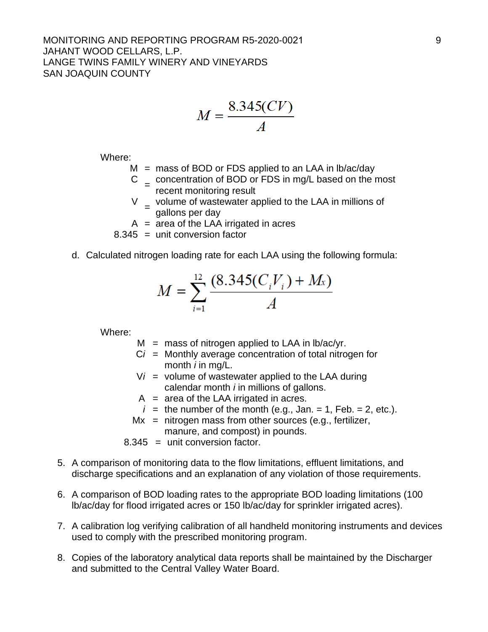#### MONITORING AND REPORTING PROGRAM R5-2020-0021 PHONORING AND REPORTING PROGRAM R5-2020-0021 JAHANT WOOD CELLARS, L.P. LANGE TWINS FAMILY WINERY AND VINEYARDS SAN JOAQUIN COUNTY

$$
M = \frac{8.345(CV)}{A}
$$

Where:

- $M =$  mass of BOD or FDS applied to an LAA in lb/ac/day
- $C =$  concentration of BOD or FDS in mg/L based on the most recent monitoring result
- $V =$  volume of wastewater applied to the LAA in millions of gallons per day
- $A = \overline{a}$  area of the LAA irrigated in acres
- $8.345$  = unit conversion factor
- d. Calculated nitrogen loading rate for each LAA using the following formula:

$$
M = \sum_{i=1}^{12} \frac{(8.345(C_i V_i) + M_x)}{A}
$$

Where:

- $M =$  mass of nitrogen applied to LAA in lb/ac/yr.
- C*i* = Monthly average concentration of total nitrogen for month *i* in mg/L.
- $Vi =$  volume of wastewater applied to the LAA during calendar month *i* in millions of gallons.
- $A = area of the LAA$  irrigated in acres.
- $i =$  the number of the month (e.g., Jan. = 1, Feb. = 2, etc.).
- $Mx$  = nitrogen mass from other sources (e.g., fertilizer, manure, and compost) in pounds.
- 8.345 = unit conversion factor.
- 5. A comparison of monitoring data to the flow limitations, effluent limitations, and discharge specifications and an explanation of any violation of those requirements.
- 6. A comparison of BOD loading rates to the appropriate BOD loading limitations (100 lb/ac/day for flood irrigated acres or 150 lb/ac/day for sprinkler irrigated acres).
- 7. A calibration log verifying calibration of all handheld monitoring instruments and devices used to comply with the prescribed monitoring program.
- 8. Copies of the laboratory analytical data reports shall be maintained by the Discharger and submitted to the Central Valley Water Board.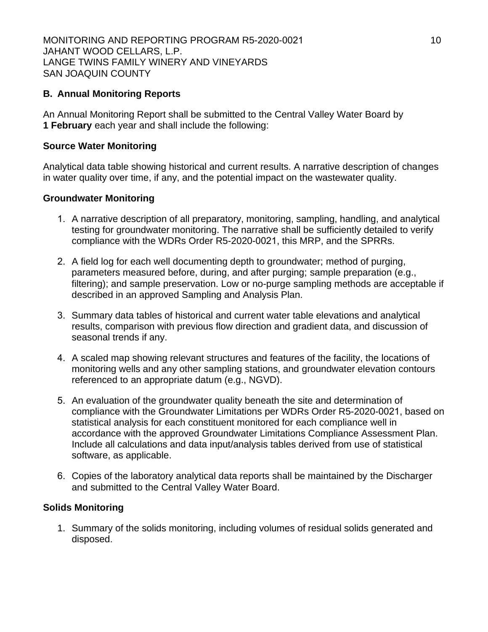# **B. Annual Monitoring Reports**

An Annual Monitoring Report shall be submitted to the Central Valley Water Board by **1 February** each year and shall include the following:

### **Source Water Monitoring**

Analytical data table showing historical and current results. A narrative description of changes in water quality over time, if any, and the potential impact on the wastewater quality.

### **Groundwater Monitoring**

- 1. A narrative description of all preparatory, monitoring, sampling, handling, and analytical testing for groundwater monitoring. The narrative shall be sufficiently detailed to verify compliance with the WDRs Order R5-2020-0021, this MRP, and the SPRRs.
- 2. A field log for each well documenting depth to groundwater; method of purging, parameters measured before, during, and after purging; sample preparation (e.g., filtering); and sample preservation. Low or no-purge sampling methods are acceptable if described in an approved Sampling and Analysis Plan.
- 3. Summary data tables of historical and current water table elevations and analytical results, comparison with previous flow direction and gradient data, and discussion of seasonal trends if any.
- 4. A scaled map showing relevant structures and features of the facility, the locations of monitoring wells and any other sampling stations, and groundwater elevation contours referenced to an appropriate datum (e.g., NGVD).
- 5. An evaluation of the groundwater quality beneath the site and determination of compliance with the Groundwater Limitations per WDRs Order R5-2020-0021, based on statistical analysis for each constituent monitored for each compliance well in accordance with the approved Groundwater Limitations Compliance Assessment Plan. Include all calculations and data input/analysis tables derived from use of statistical software, as applicable.
- 6. Copies of the laboratory analytical data reports shall be maintained by the Discharger and submitted to the Central Valley Water Board.

## **Solids Monitoring**

1. Summary of the solids monitoring, including volumes of residual solids generated and disposed.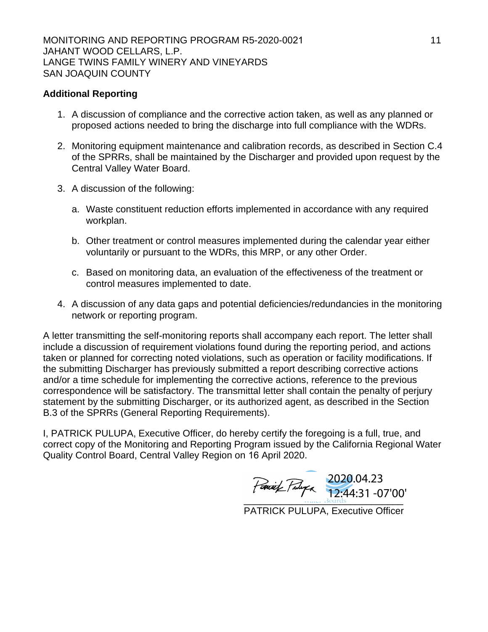## **Additional Reporting**

- 1. A discussion of compliance and the corrective action taken, as well as any planned or proposed actions needed to bring the discharge into full compliance with the WDRs.
- 2. Monitoring equipment maintenance and calibration records, as described in Section C.4 of the SPRRs, shall be maintained by the Discharger and provided upon request by the Central Valley Water Board.
- 3. A discussion of the following:
	- a. Waste constituent reduction efforts implemented in accordance with any required workplan.
	- b. Other treatment or control measures implemented during the calendar year either voluntarily or pursuant to the WDRs, this MRP, or any other Order.
	- c. Based on monitoring data, an evaluation of the effectiveness of the treatment or control measures implemented to date.
- 4. A discussion of any data gaps and potential deficiencies/redundancies in the monitoring network or reporting program.

A letter transmitting the self-monitoring reports shall accompany each report. The letter shall include a discussion of requirement violations found during the reporting period, and actions taken or planned for correcting noted violations, such as operation or facility modifications. If the submitting Discharger has previously submitted a report describing corrective actions and/or a time schedule for implementing the corrective actions, reference to the previous correspondence will be satisfactory. The transmittal letter shall contain the penalty of perjury statement by the submitting Discharger, or its authorized agent, as described in the Section B.3 of the SPRRs (General Reporting Requirements).

I, PATRICK PULUPA, Executive Officer, do hereby certify the foregoing is a full, true, and correct copy of the Monitoring and Reporting Program issued by the California Regional Water Quality Control Board, Central Valley Region on 16 April 2020.

\_\_\_\_\_\_\_\_\_\_\_\_\_\_\_\_\_\_\_\_\_\_\_\_\_\_\_\_\_\_ 2020.04.23 12:44:31 -07'00'

PATRICK PULUPA, Executive Officer